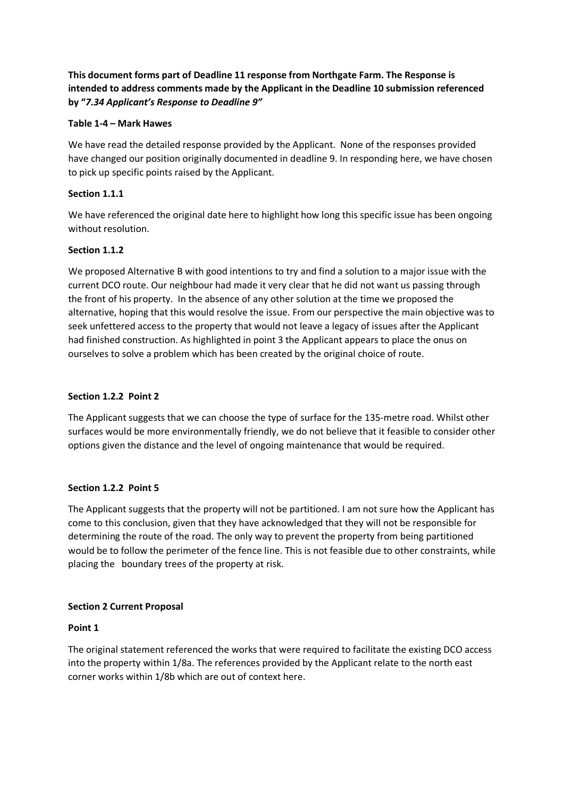# **This document forms part of Deadline 11 response from Northgate Farm. The Response is intended to address comments made by the Applicant in the Deadline 10 submission referenced by "***7.34 Applicant's Response to Deadline 9"*

# **Table 1-4 – Mark Hawes**

We have read the detailed response provided by the Applicant. None of the responses provided have changed our position originally documented in deadline 9. In responding here, we have chosen to pick up specific points raised by the Applicant.

# **Section 1.1.1**

We have referenced the original date here to highlight how long this specific issue has been ongoing without resolution.

# **Section 1.1.2**

We proposed Alternative B with good intentions to try and find a solution to a major issue with the current DCO route. Our neighbour had made it very clear that he did not want us passing through the front of his property. In the absence of any other solution at the time we proposed the alternative, hoping that this would resolve the issue. From our perspective the main objective was to seek unfettered access to the property that would not leave a legacy of issues after the Applicant had finished construction. As highlighted in point 3 the Applicant appears to place the onus on ourselves to solve a problem which has been created by the original choice of route.

# **Section 1.2.2 Point 2**

The Applicant suggests that we can choose the type of surface for the 135-metre road. Whilst other surfaces would be more environmentally friendly, we do not believe that it feasible to consider other options given the distance and the level of ongoing maintenance that would be required.

# **Section 1.2.2 Point 5**

The Applicant suggests that the property will not be partitioned. I am not sure how the Applicant has come to this conclusion, given that they have acknowledged that they will not be responsible for determining the route of the road. The only way to prevent the property from being partitioned would be to follow the perimeter of the fence line. This is not feasible due to other constraints, while placing the boundary trees of the property at risk.

#### **Section 2 Current Proposal**

#### **Point 1**

The original statement referenced the works that were required to facilitate the existing DCO access into the property within 1/8a. The references provided by the Applicant relate to the north east corner works within 1/8b which are out of context here.